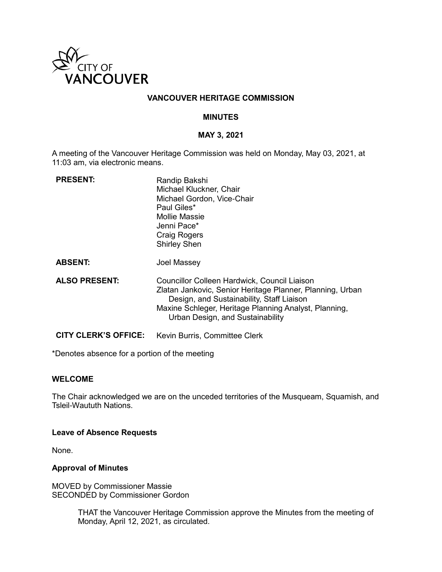

# **VANCOUVER HERITAGE COMMISSION**

# **MINUTES**

# **MAY 3, 2021**

A meeting of the Vancouver Heritage Commission was held on Monday, May 03, 2021, at 11:03 am, via electronic means.

| <b>PRESENT:</b>             | Randip Bakshi<br>Michael Kluckner, Chair<br>Michael Gordon, Vice-Chair<br>Paul Giles*<br>Mollie Massie<br>Jenni Pace*<br><b>Craig Rogers</b><br><b>Shirley Shen</b>                                                                                 |
|-----------------------------|-----------------------------------------------------------------------------------------------------------------------------------------------------------------------------------------------------------------------------------------------------|
| <b>ABSENT:</b>              | Joel Massey                                                                                                                                                                                                                                         |
| <b>ALSO PRESENT:</b>        | Councillor Colleen Hardwick, Council Liaison<br>Zlatan Jankovic, Senior Heritage Planner, Planning, Urban<br>Design, and Sustainability, Staff Liaison<br>Maxine Schleger, Heritage Planning Analyst, Planning,<br>Urban Design, and Sustainability |
| <b>CITY CLERK'S OFFICE:</b> | Kevin Burris, Committee Clerk                                                                                                                                                                                                                       |

\*Denotes absence for a portion of the meeting

### **WELCOME**

The Chair acknowledged we are on the unceded territories of the Musqueam, Squamish, and Tsleil-Waututh Nations.

### **Leave of Absence Requests**

None.

### **Approval of Minutes**

MOVED by Commissioner Massie SECONDED by Commissioner Gordon

> THAT the Vancouver Heritage Commission approve the Minutes from the meeting of Monday, April 12, 2021, as circulated.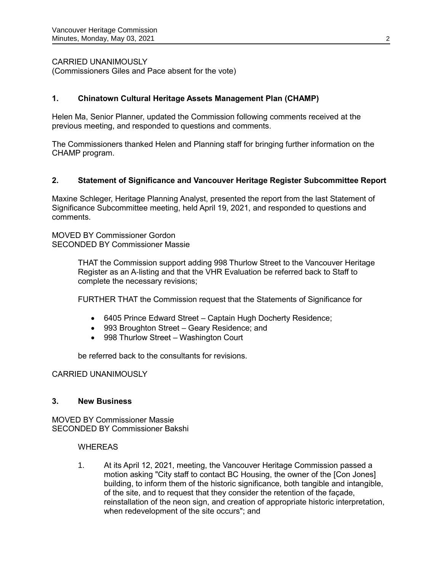CARRIED UNANIMOUSLY

(Commissioners Giles and Pace absent for the vote)

# **1. Chinatown Cultural Heritage Assets Management Plan (CHAMP)**

Helen Ma, Senior Planner, updated the Commission following comments received at the previous meeting, and responded to questions and comments.

The Commissioners thanked Helen and Planning staff for bringing further information on the CHAMP program.

# **2. Statement of Significance and Vancouver Heritage Register Subcommittee Report**

Maxine Schleger, Heritage Planning Analyst, presented the report from the last Statement of Significance Subcommittee meeting, held April 19, 2021, and responded to questions and comments.

MOVED BY Commissioner Gordon SECONDED BY Commissioner Massie

> THAT the Commission support adding 998 Thurlow Street to the Vancouver Heritage Register as an A-listing and that the VHR Evaluation be referred back to Staff to complete the necessary revisions;

FURTHER THAT the Commission request that the Statements of Significance for

- 6405 Prince Edward Street Captain Hugh Docherty Residence;
- 993 Broughton Street Geary Residence; and
- 998 Thurlow Street Washington Court

be referred back to the consultants for revisions.

# CARRIED UNANIMOUSLY

# **3. New Business**

MOVED BY Commissioner Massie SECONDED BY Commissioner Bakshi

### WHEREAS

1. At its April 12, 2021, meeting, the Vancouver Heritage Commission passed a motion asking "City staff to contact BC Housing, the owner of the [Con Jones] building, to inform them of the historic significance, both tangible and intangible, of the site, and to request that they consider the retention of the façade, reinstallation of the neon sign, and creation of appropriate historic interpretation, when redevelopment of the site occurs"; and